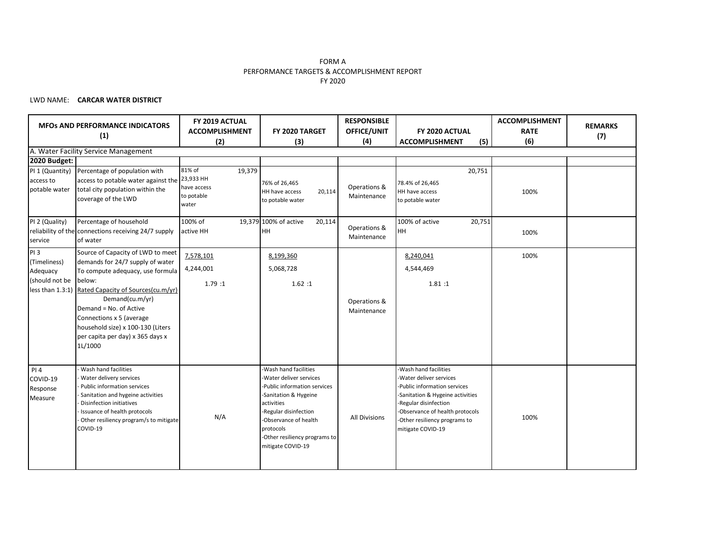### FORM A PERFORMANCE TARGETS & ACCOMPLISHMENT REPORT FY 2020

### LWD NAME: **CARCAR WATER DISTRICT**

|                                                          | <b>MFOS AND PERFORMANCE INDICATORS</b><br>(1)                                                                                                                                                                                                                                                                                           | FY 2019 ACTUAL<br>FY 2020 TARGET<br><b>ACCOMPLISHMENT</b><br>(2)<br>(3) |                                                                                                                                                                                                                                           | <b>RESPONSIBLE</b><br>OFFICE/UNIT<br>FY 2020 ACTUAL<br>(4)<br><b>ACCOMPLISHMENT</b><br>(5) |                                                                                                                                                                                                                                        | <b>ACCOMPLISHMENT</b><br><b>RATE</b><br>(6) | <b>REMARKS</b><br>(7) |
|----------------------------------------------------------|-----------------------------------------------------------------------------------------------------------------------------------------------------------------------------------------------------------------------------------------------------------------------------------------------------------------------------------------|-------------------------------------------------------------------------|-------------------------------------------------------------------------------------------------------------------------------------------------------------------------------------------------------------------------------------------|--------------------------------------------------------------------------------------------|----------------------------------------------------------------------------------------------------------------------------------------------------------------------------------------------------------------------------------------|---------------------------------------------|-----------------------|
|                                                          | A. Water Facility Service Management                                                                                                                                                                                                                                                                                                    |                                                                         |                                                                                                                                                                                                                                           |                                                                                            |                                                                                                                                                                                                                                        |                                             |                       |
| 2020 Budget:                                             |                                                                                                                                                                                                                                                                                                                                         |                                                                         |                                                                                                                                                                                                                                           |                                                                                            |                                                                                                                                                                                                                                        |                                             |                       |
| PI 1 (Quantity)<br>access to<br>potable water            | Percentage of population with<br>access to potable water against the 23,933 HH<br>total city population within the<br>coverage of the LWD                                                                                                                                                                                               | 81% of<br>19,379<br>have access<br>to potable<br>water                  | 76% of 26,465<br>HH have access<br>20,114<br>to potable water                                                                                                                                                                             | Operations &<br>Maintenance                                                                | 20,751<br>78.4% of 26,465<br>HH have access<br>to potable water                                                                                                                                                                        | 100%                                        |                       |
| PI 2 (Quality)<br>service                                | Percentage of household<br>reliability of the connections receiving 24/7 supply<br>of water                                                                                                                                                                                                                                             | 100% of<br>active HH                                                    | 19,379 100% of active<br>20,114<br><b>HH</b>                                                                                                                                                                                              | Operations &<br>Maintenance                                                                | 100% of active<br>20,751<br>HH                                                                                                                                                                                                         | 100%                                        |                       |
| <b>PI3</b><br>(Timeliness)<br>Adequacy<br>(should not be | Source of Capacity of LWD to meet<br>demands for 24/7 supply of water<br>To compute adequacy, use formula<br>below:<br>less than 1.3:1) Rated Capacity of Sources(cu.m/yr)<br>Demand(cu.m/yr)<br>Demand = No. of Active<br>Connections x 5 (average<br>household size) x 100-130 (Liters<br>per capita per day) x 365 days x<br>1L/1000 | 7,578,101<br>4,244,001<br>1.79 :1                                       | 8,199,360<br>5,068,728<br>1.62:1                                                                                                                                                                                                          | Operations &<br>Maintenance                                                                | 8,240,041<br>4,544,469<br>1.81:1                                                                                                                                                                                                       | 100%                                        |                       |
| PI 4<br>COVID-19<br>Response<br>Measure                  | Wash hand facilities<br>Water delivery services<br>Public information services<br>Sanitation and hygeine activities<br><b>Disinfection initiatives</b><br>Issuance of health protocols<br>Other resiliency program/s to mitigate<br>COVID-19                                                                                            | N/A                                                                     | -Wash hand facilities<br>Water deliver services<br>Public information services<br>-Sanitation & Hygeine<br>activities<br>-Regular disinfection<br>Observance of health<br>protocols<br>-Other resiliency programs to<br>mitigate COVID-19 | <b>All Divisions</b>                                                                       | -Wash hand facilities<br>-Water deliver services<br>-Public information services<br>-Sanitation & Hygeine activities<br>-Regular disinfection<br>-Observance of health protocols<br>-Other resiliency programs to<br>mitigate COVID-19 | 100%                                        |                       |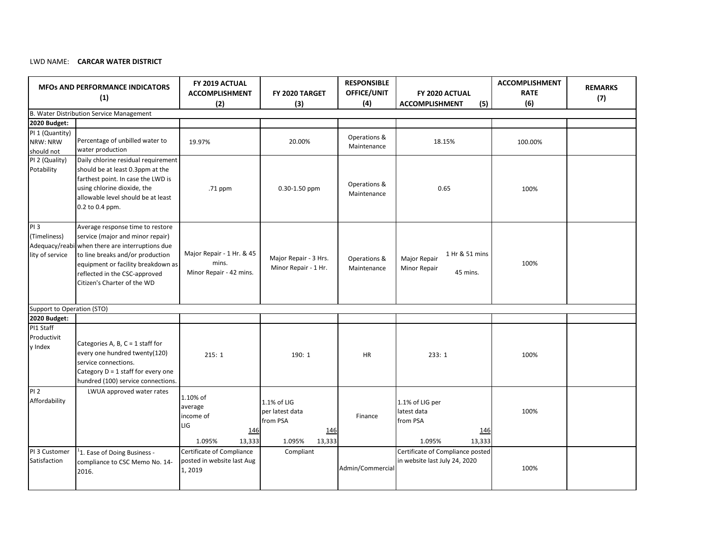# LWD NAME: **CARCAR WATER DISTRICT**

| <b>MFOs AND PERFORMANCE INDICATORS</b><br>(1)             |                                                                                                                                                                                                                                                                                                                                    | FY 2019 ACTUAL<br><b>ACCOMPLISHMENT</b><br>(2)                            | FY 2020 TARGET<br>(3)                                                 | <b>RESPONSIBLE</b><br>OFFICE/UNIT<br>(4) | FY 2020 ACTUAL<br><b>ACCOMPLISHMENT</b><br>(5)                        | <b>ACCOMPLISHMENT</b><br><b>RATE</b><br>(6) | <b>REMARKS</b><br>(7) |
|-----------------------------------------------------------|------------------------------------------------------------------------------------------------------------------------------------------------------------------------------------------------------------------------------------------------------------------------------------------------------------------------------------|---------------------------------------------------------------------------|-----------------------------------------------------------------------|------------------------------------------|-----------------------------------------------------------------------|---------------------------------------------|-----------------------|
|                                                           | B. Water Distribution Service Management                                                                                                                                                                                                                                                                                           |                                                                           |                                                                       |                                          |                                                                       |                                             |                       |
| 2020 Budget:<br>PI 1 (Quantity)<br>NRW: NRW<br>should not | Percentage of unbilled water to<br>water production                                                                                                                                                                                                                                                                                | 19.97%                                                                    | 20.00%                                                                | Operations &<br>Maintenance              | 18.15%                                                                | 100.00%                                     |                       |
| PI 2 (Quality)<br>Potability                              | Daily chlorine residual requirement<br>should be at least 0.3ppm at the<br>farthest point. In case the LWD is<br>using chlorine dioxide, the<br>allowable level should be at least<br>0.2 to 0.4 ppm.                                                                                                                              | .71 ppm                                                                   | $0.30 - 1.50$ ppm                                                     | Operations &<br>Maintenance              | 0.65                                                                  | 100%                                        |                       |
| PI3<br>(Timeliness)<br>lity of service                    | Average response time to restore<br>service (major and minor repair)<br>Adequacy/reabi when there are interruptions due<br>Major Repair - 1 Hr. & 45<br>to line breaks and/or production<br>mins.<br>equipment or facility breakdown as<br>Minor Repair - 42 mins.<br>reflected in the CSC-approved<br>Citizen's Charter of the WD |                                                                           | Major Repair - 3 Hrs.<br>Minor Repair - 1 Hr.                         | Operations &<br>Maintenance              | 1 Hr & 51 mins<br>Major Repair<br>Minor Repair<br>45 mins.            | 100%                                        |                       |
| Support to Operation (STO)                                |                                                                                                                                                                                                                                                                                                                                    |                                                                           |                                                                       |                                          |                                                                       |                                             |                       |
| 2020 Budget:                                              |                                                                                                                                                                                                                                                                                                                                    |                                                                           |                                                                       |                                          |                                                                       |                                             |                       |
| PI1 Staff<br>Productivit<br>y Index                       | Categories A, B, $C = 1$ staff for<br>every one hundred twenty(120)<br>service connections.<br>Category $D = 1$ staff for every one<br>hundred (100) service connections.                                                                                                                                                          | 215:1                                                                     | 190: 1                                                                | <b>HR</b>                                | 233:1                                                                 | 100%                                        |                       |
| <b>PI2</b><br>Affordability                               | LWUA approved water rates                                                                                                                                                                                                                                                                                                          | 1.10% of<br>average<br>income of<br>LIG<br><u>146</u><br>13,333<br>1.095% | 1.1% of LIG<br>per latest data<br>from PSA<br>146<br>1.095%<br>13,333 | Finance                                  | 1.1% of LIG per<br>latest data<br>from PSA<br>146<br>1.095%<br>13,333 | 100%                                        |                       |
| PI 3 Customer<br>Satisfaction                             | <sup>1</sup> 1. Ease of Doing Business -<br>compliance to CSC Memo No. 14-<br>2016.                                                                                                                                                                                                                                                | Certificate of Compliance<br>posted in website last Aug<br>1,2019         | Compliant                                                             | Admin/Commercial                         | Certificate of Compliance posted<br>in website last July 24, 2020     | 100%                                        |                       |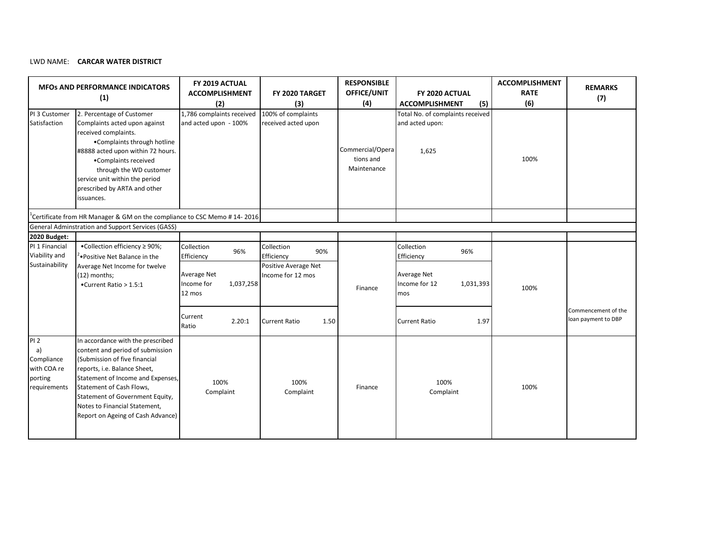#### LWD NAME: **CARCAR WATER DISTRICT**

| PI 3 Customer<br>Satisfaction                                            | <b>MFOS AND PERFORMANCE INDICATORS</b><br>(1)<br>2. Percentage of Customer<br>Complaints acted upon against<br>received complaints.<br>•Complaints through hotline<br>#8888 acted upon within 72 hours.<br>•Complaints received<br>through the WD customer<br>service unit within the period<br>prescribed by ARTA and other<br>issuances. | FY 2019 ACTUAL<br><b>ACCOMPLISHMENT</b><br>(2)<br>1,786 complaints received<br>and acted upon - 100% | FY 2020 TARGET<br>(3)<br>100% of complaints<br>received acted upon | <b>RESPONSIBLE</b><br>OFFICE/UNIT<br>(4)<br>Commercial/Opera<br>tions and<br>Maintenance | FY 2020 ACTUAL<br>(5)<br><b>ACCOMPLISHMENT</b><br>Total No. of complaints received<br>and acted upon:<br>1,625 | <b>ACCOMPLISHMENT</b><br><b>RATE</b><br>(6)<br>100% | <b>REMARKS</b><br>(7)                      |
|--------------------------------------------------------------------------|--------------------------------------------------------------------------------------------------------------------------------------------------------------------------------------------------------------------------------------------------------------------------------------------------------------------------------------------|------------------------------------------------------------------------------------------------------|--------------------------------------------------------------------|------------------------------------------------------------------------------------------|----------------------------------------------------------------------------------------------------------------|-----------------------------------------------------|--------------------------------------------|
|                                                                          | <sup>1</sup> Certificate from HR Manager & GM on the compliance to CSC Memo # 14-2016                                                                                                                                                                                                                                                      |                                                                                                      |                                                                    |                                                                                          |                                                                                                                |                                                     |                                            |
|                                                                          | General Adminstration and Support Services (GASS)                                                                                                                                                                                                                                                                                          |                                                                                                      |                                                                    |                                                                                          |                                                                                                                |                                                     |                                            |
| 2020 Budget:                                                             |                                                                                                                                                                                                                                                                                                                                            |                                                                                                      |                                                                    |                                                                                          |                                                                                                                |                                                     |                                            |
| PI 1 Financial<br>Viability and                                          | .Collection efficiency ≥ 90%;<br>Positive Net Balance in the<br>Average Net Income for twelve<br>(12) months;<br>•Current Ratio > 1.5:1                                                                                                                                                                                                    | Collection<br>96%<br>Efficiency                                                                      | Collection<br>90%<br>Efficiency                                    |                                                                                          | Collection<br>96%<br>Efficiency                                                                                |                                                     |                                            |
| Sustainability                                                           |                                                                                                                                                                                                                                                                                                                                            | Average Net<br>1,037,258<br>Income for<br>12 mos                                                     | Positive Average Net<br>Income for 12 mos                          | Finance                                                                                  | Average Net<br>Income for 12<br>1,031,393<br>mos                                                               | 100%                                                |                                            |
|                                                                          |                                                                                                                                                                                                                                                                                                                                            | Current<br>2.20:1<br>Ratio                                                                           | <b>Current Ratio</b><br>1.50                                       |                                                                                          | <b>Current Ratio</b><br>1.97                                                                                   |                                                     | Commencement of the<br>loan payment to DBP |
| <b>PI2</b><br>a)<br>Compliance<br>with COA re<br>porting<br>requirements | In accordance with the prescribed<br>content and period of submission<br>(Submission of five financial<br>reports, i.e. Balance Sheet,<br>Statement of Income and Expenses,<br>Statement of Cash Flows,<br>Statement of Government Equity,<br>Notes to Financial Statement,<br>Report on Ageing of Cash Advance)                           | 100%<br>Complaint                                                                                    | 100%<br>Complaint                                                  | Finance                                                                                  | 100%<br>Complaint                                                                                              | 100%                                                |                                            |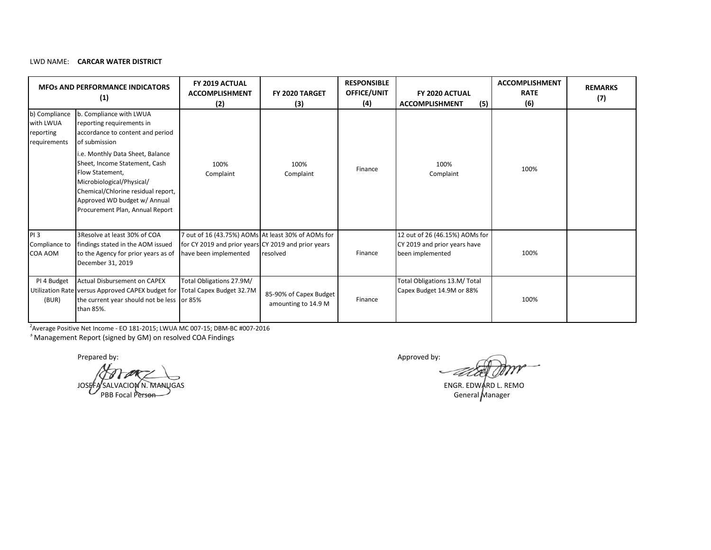# LWD NAME: **CARCAR WATER DISTRICT**

| <b>MFOS AND PERFORMANCE INDICATORS</b><br>(1)           |                                                                                                                                                                                                                                                                                                                                         | FY 2019 ACTUAL<br><b>ACCOMPLISHMENT</b><br>(2)                                                                                     | FY 2020 TARGET<br>(3)                         | <b>RESPONSIBLE</b><br><b>OFFICE/UNIT</b><br>(4) | FY 2020 ACTUAL<br><b>ACCOMPLISHMENT</b><br>(5)                                     | <b>ACCOMPLISHMENT</b><br><b>RATE</b><br>(6) | <b>REMARKS</b><br>(7) |
|---------------------------------------------------------|-----------------------------------------------------------------------------------------------------------------------------------------------------------------------------------------------------------------------------------------------------------------------------------------------------------------------------------------|------------------------------------------------------------------------------------------------------------------------------------|-----------------------------------------------|-------------------------------------------------|------------------------------------------------------------------------------------|---------------------------------------------|-----------------------|
| b) Compliance<br>with LWUA<br>reporting<br>requirements | b. Compliance with LWUA<br>reporting requirements in<br>accordance to content and period<br>of submission<br>i.e. Monthly Data Sheet, Balance<br>Sheet, Income Statement, Cash<br>Flow Statement.<br>Microbiological/Physical/<br>Chemical/Chlorine residual report,<br>Approved WD budget w/ Annual<br>Procurement Plan, Annual Report | 100%<br>Complaint                                                                                                                  | 100%<br>Complaint                             | Finance                                         | 100%<br>Complaint                                                                  | 100%                                        |                       |
| PI <sub>3</sub><br>Compliance to<br><b>COA AOM</b>      | 3 Resolve at least 30% of COA<br>findings stated in the AOM issued<br>to the Agency for prior years as of<br>December 31, 2019                                                                                                                                                                                                          | 7 out of 16 (43.75%) AOMs At least 30% of AOMs for<br>for CY 2019 and prior years CY 2019 and prior years<br>have been implemented | resolved                                      | Finance                                         | 12 out of 26 (46.15%) AOMs for<br>CY 2019 and prior years have<br>been implemented | 100%                                        |                       |
| PI 4 Budget<br>(BUR)                                    | <b>Actual Disbursement on CAPEX</b><br>Utilization Rate versus Approved CAPEX budget for<br>the current year should not be less or 85%<br>than 85%.                                                                                                                                                                                     | Total Obligations 27.9M/<br>Total Capex Budget 32.7M                                                                               | 85-90% of Capex Budget<br>amounting to 14.9 M | Finance                                         | Total Obligations 13.M/ Total<br>Capex Budget 14.9M or 88%                         | 100%                                        |                       |

2 Average Positive Net Income - EO 181-2015; LWUA MC 007-15; DBM-BC #007-2016

3 Management Report (signed by GM) on resolved COA Findings

JOSEFA SALVACION N. MANUGAS ENGR. EDWARD L. REMO PBB Focal Per<del>son</del>

Prepared by: Approved by: Approved by: Approved by: Approved by: Approved by: Approved by: Approved by: Approved by: Approved by: Approved by: Approved by: Approved by: Approved by: Approved by: Approved by: Approved by: A

General Manager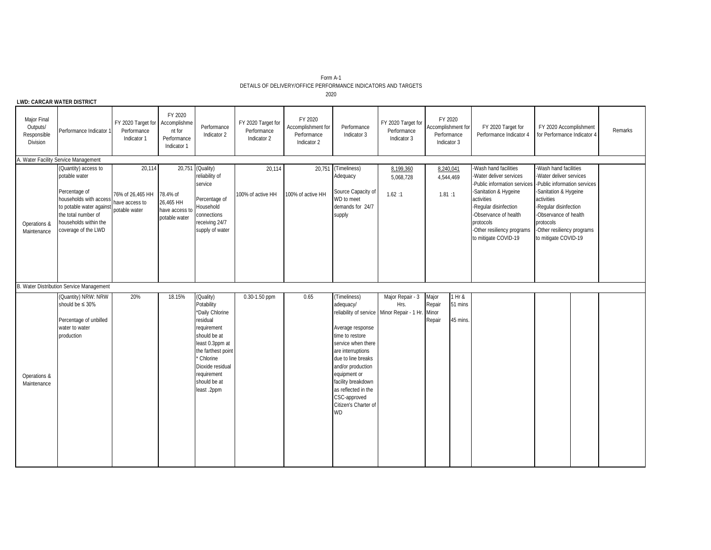| Form A-1                                                      |  |
|---------------------------------------------------------------|--|
| DETAILS OF DELIVERY/OFFICE PERFORMANCE INDICATORS AND TARGETS |  |

**LWD: CARCAR WATER DISTRICT**

| Major Final<br>Outputs/<br>Responsible<br>Division | Performance Indicator 1                                                                                                                                                             | FY 2020 Target for<br>Performance<br>Indicator 1              | FY 2020<br>Accomplishme<br>nt for<br>Performance<br>Indicator 1 | Performance<br>Indicator 2                                                                                                                                                                                   | FY 2020 Target for<br>Performance<br>Indicator 2 | FY 2020<br>Accomplishment for<br>Performance<br>Indicator 2 | Performance<br>Indicator 3                                                                                                                                                                                                                                        | FY 2020 Target for<br>Performance<br>Indicator 3                        | FY 2020<br>Accomplishment for<br>Performance<br>Indicator 3 |                     | FY 2020 Target for<br>Performance Indicator 4                                                                                                                                                                | FY 2020 Accomplishment<br>for Performance Indicator 4                                                                                                                                                                                                                     | Remarks |
|----------------------------------------------------|-------------------------------------------------------------------------------------------------------------------------------------------------------------------------------------|---------------------------------------------------------------|-----------------------------------------------------------------|--------------------------------------------------------------------------------------------------------------------------------------------------------------------------------------------------------------|--------------------------------------------------|-------------------------------------------------------------|-------------------------------------------------------------------------------------------------------------------------------------------------------------------------------------------------------------------------------------------------------------------|-------------------------------------------------------------------------|-------------------------------------------------------------|---------------------|--------------------------------------------------------------------------------------------------------------------------------------------------------------------------------------------------------------|---------------------------------------------------------------------------------------------------------------------------------------------------------------------------------------------------------------------------------------------------------------------------|---------|
|                                                    | A. Water Facility Service Management                                                                                                                                                |                                                               |                                                                 |                                                                                                                                                                                                              |                                                  |                                                             |                                                                                                                                                                                                                                                                   |                                                                         |                                                             |                     |                                                                                                                                                                                                              |                                                                                                                                                                                                                                                                           |         |
| Operations &<br>Maintenance                        | (Quantity) access to<br>potable water<br>Percentage of<br>households with access<br>to potable water against<br>the total number of<br>households within the<br>coverage of the LWD | 20,114<br>76% of 26.465 HH<br>have access to<br>potable water | 78.4% of<br>26,465 HH<br>have access to<br>potable water        | 20,751 (Quality)<br>reliability of<br>service<br>Percentage of<br>Household<br>connections<br>receiving 24/7<br>supply of water                                                                              | 20,114<br>100% of active HH                      | 20,751<br>100% of active HH                                 | (Timeliness)<br>Adequacy<br>Source Capacity of<br>WD to meet<br>demands for 24/7<br>supply                                                                                                                                                                        | 8,199,360<br>5,068,728<br>1.62:1                                        | 8,240,041<br>4,544,469<br>1.81:1                            |                     | -Wash hand facilities<br>-Water deliver services<br>-Sanitation & Hygeine<br>activities<br>-Regular disinfection<br>-Observance of health<br>protocols<br>-Other resiliency programs<br>to mitigate COVID-19 | -Wash hand facilities<br>-Water deliver services<br>-Public information services -Public information services<br>-Sanitation & Hygeine<br>activities<br>-Regular disinfection<br>-Observance of health<br>protocols<br>-Other resiliency programs<br>to mitigate COVID-19 |         |
|                                                    | B. Water Distribution Service Management                                                                                                                                            |                                                               |                                                                 |                                                                                                                                                                                                              |                                                  |                                                             |                                                                                                                                                                                                                                                                   |                                                                         |                                                             |                     |                                                                                                                                                                                                              |                                                                                                                                                                                                                                                                           |         |
| Operations &<br>Maintenance                        | (Quantity) NRW: NRW<br>should be $\leq 30\%$<br>Percentage of unbilled<br>water to water<br>production                                                                              | 20%                                                           | 18.15%                                                          | (Quality)<br>Potability<br>*Daily Chlorine<br>residual<br>requirement<br>should be at<br>least 0.3ppm at<br>the farthest point<br>Chlorine<br>Dioxide residual<br>requirement<br>should be at<br>least .2ppm | $0.30 - 1.50$ ppm                                | 0.65                                                        | (Timeliness)<br>adequacy/<br>Average response<br>time to restore<br>service when there<br>are interruptions<br>due to line breaks<br>and/or production<br>equipment or<br>facility breakdown<br>as reflected in the<br>CSC-approved<br>Citizen's Charter of<br>WD | Major Repair - 3<br>Hrs.<br>reliability of service Minor Repair - 1 Hr. | Major<br>1 Hr &<br>Repair<br>Minor<br>Repair                | 51 mins<br>45 mins. |                                                                                                                                                                                                              |                                                                                                                                                                                                                                                                           |         |

2020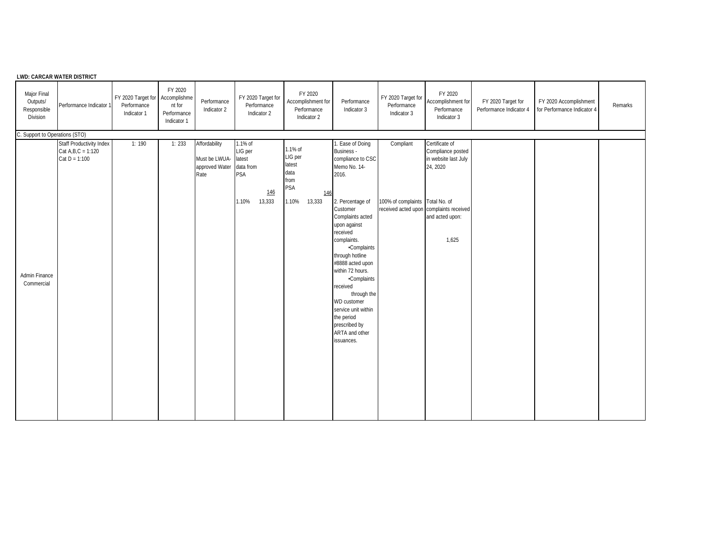|                                                    | <b>LWD: CARCAR WATER DISTRICT</b>                                           |                                                               |                                                 |                                                                 |                                                                         |                                                                               |                                                                                                                                                                                                                                                                                                                                                                                                                           |                                                                                         |                                                                                                     |                                               |                                                       |         |
|----------------------------------------------------|-----------------------------------------------------------------------------|---------------------------------------------------------------|-------------------------------------------------|-----------------------------------------------------------------|-------------------------------------------------------------------------|-------------------------------------------------------------------------------|---------------------------------------------------------------------------------------------------------------------------------------------------------------------------------------------------------------------------------------------------------------------------------------------------------------------------------------------------------------------------------------------------------------------------|-----------------------------------------------------------------------------------------|-----------------------------------------------------------------------------------------------------|-----------------------------------------------|-------------------------------------------------------|---------|
| Major Final<br>Outputs/<br>Responsible<br>Division | Performance Indicator 1                                                     | FY 2020 Target for Accomplishme<br>Performance<br>Indicator 1 | FY 2020<br>nt for<br>Performance<br>Indicator 1 | Performance<br>Indicator 2                                      | FY 2020 Target for<br>Performance<br>Indicator 2                        | FY 2020<br>Accomplishment for<br>Performance<br>Indicator 2                   | Performance<br>Indicator 3                                                                                                                                                                                                                                                                                                                                                                                                | FY 2020 Target for<br>Performance<br>Indicator 3                                        | FY 2020<br>Accomplishment for<br>Performance<br>Indicator 3                                         | FY 2020 Target for<br>Performance Indicator 4 | FY 2020 Accomplishment<br>for Performance Indicator 4 | Remarks |
| C. Support to Operations (STO)                     |                                                                             |                                                               |                                                 |                                                                 |                                                                         |                                                                               |                                                                                                                                                                                                                                                                                                                                                                                                                           |                                                                                         |                                                                                                     |                                               |                                                       |         |
| Admin Finance<br>Commercial                        | <b>Staff Productivity Index</b><br>$Cat A, B, C = 1:120$<br>$Cat D = 1:100$ | 1:190                                                         | 1:233                                           | Affordability<br>Must be LWUA- latest<br>approved Water<br>Rate | 1.1% of<br>LIG per<br>data from<br><b>PSA</b><br>146<br>1.10%<br>13,333 | 1.1% of<br>LIG per<br>latest<br>data<br>from<br>PSA<br>146<br>1.10%<br>13,333 | 1. Ease of Doing<br><b>Business</b> -<br>compliance to CSC<br>Memo No. 14-<br>2016.<br>2. Percentage of<br>Customer<br>Complaints acted<br>upon against<br>received<br>complaints.<br><b>-Complaints</b><br>through hotline<br>#8888 acted upon<br>within 72 hours.<br><b>-Complaints</b><br>received<br>through the<br>WD customer<br>service unit within<br>the period<br>prescribed by<br>ARTA and other<br>issuances. | Compliant<br>100% of complaints Total No. of<br>received acted upon complaints received | Certificate of<br>Compliance posted<br>in website last July<br>24, 2020<br>and acted upon:<br>1,625 |                                               |                                                       |         |